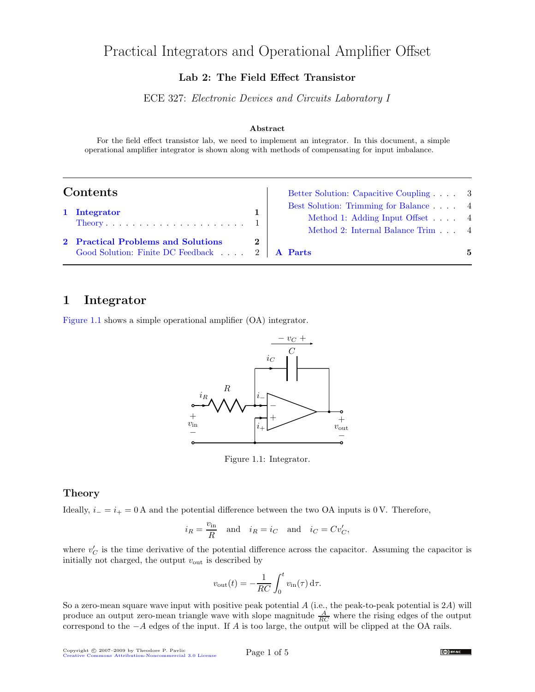# Practical Integrators and Operational Amplifier Offset

## Lab 2: The Field Effect Transistor

ECE 327: Electronic Devices and Circuits Laboratory I

#### Abstract

For the field effect transistor lab, we need to implement an integrator. In this document, a simple operational amplifier integrator is shown along with methods of compensating for input imbalance.

| Contents |                                                                                              |  | Better Solution: Capacitive Coupling 3                                                                        |   |
|----------|----------------------------------------------------------------------------------------------|--|---------------------------------------------------------------------------------------------------------------|---|
|          | 1 Integrator                                                                                 |  | Best Solution: Trimming for Balance 4<br>Method 1: Adding Input Offset 4<br>Method 2: Internal Balance Trim 4 |   |
|          | 2 Practical Problems and Solutions<br>Good Solution: Finite DC Feedback $\ldots$ 2   A Parts |  |                                                                                                               | 5 |

## <span id="page-0-0"></span>1 Integrator

[Figure 1.1](#page-0-2) shows a simple operational amplifier (OA) integrator.



<span id="page-0-2"></span>Figure 1.1: Integrator.

#### <span id="page-0-1"></span>Theory

Ideally,  $i_-=i_+=0$  A and the potential difference between the two OA inputs is 0 V. Therefore,

$$
i_R = \frac{v_{\text{in}}}{R}
$$
 and  $i_R = i_C$  and  $i_C = Cv'_C$ ,

where  $v_C'$  is the time derivative of the potential difference across the capacitor. Assuming the capacitor is initially not charged, the output  $v_{\text{out}}$  is described by

$$
v_{\text{out}}(t) = -\frac{1}{RC} \int_0^t v_{\text{in}}(\tau) d\tau.
$$

So a zero-mean square wave input with positive peak potential A (i.e., the peak-to-peak potential is 2A) will produce an output zero-mean triangle wave with slope magnitude  $\frac{A}{RC}$  where the rising edges of the output correspond to the −A edges of the input. If A is too large, the output will be clipped at the OA rails.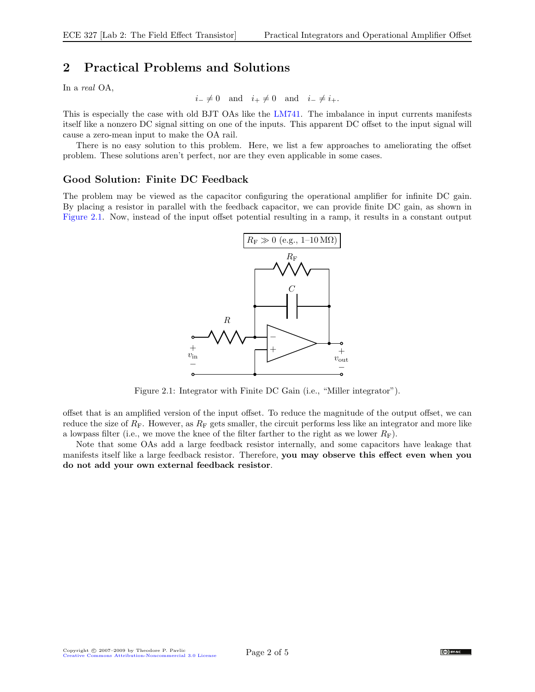# <span id="page-1-0"></span>2 Practical Problems and Solutions

In a real OA,

$$
i_- \neq 0
$$
 and  $i_+ \neq 0$  and  $i_- \neq i_+$ .

This is especially the case with old BJT OAs like the [LM741.](http://www.national.com/pf/LM/LM741.html) The imbalance in input currents manifests itself like a nonzero DC signal sitting on one of the inputs. This apparent DC offset to the input signal will cause a zero-mean input to make the OA rail.

There is no easy solution to this problem. Here, we list a few approaches to ameliorating the offset problem. These solutions aren't perfect, nor are they even applicable in some cases.

### <span id="page-1-1"></span>Good Solution: Finite DC Feedback

The problem may be viewed as the capacitor configuring the operational amplifier for infinite DC gain. By placing a resistor in parallel with the feedback capacitor, we can provide finite DC gain, as shown in [Figure 2.1.](#page-1-2) Now, instead of the input offset potential resulting in a ramp, it results in a constant output



<span id="page-1-2"></span>Figure 2.1: Integrator with Finite DC Gain (i.e., "Miller integrator").

offset that is an amplified version of the input offset. To reduce the magnitude of the output offset, we can reduce the size of  $R_F$ . However, as  $R_F$  gets smaller, the circuit performs less like an integrator and more like a lowpass filter (i.e., we move the knee of the filter farther to the right as we lower  $R_F$ ).

Note that some OAs add a large feedback resistor internally, and some capacitors have leakage that manifests itself like a large feedback resistor. Therefore, you may observe this effect even when you do not add your own external feedback resistor.

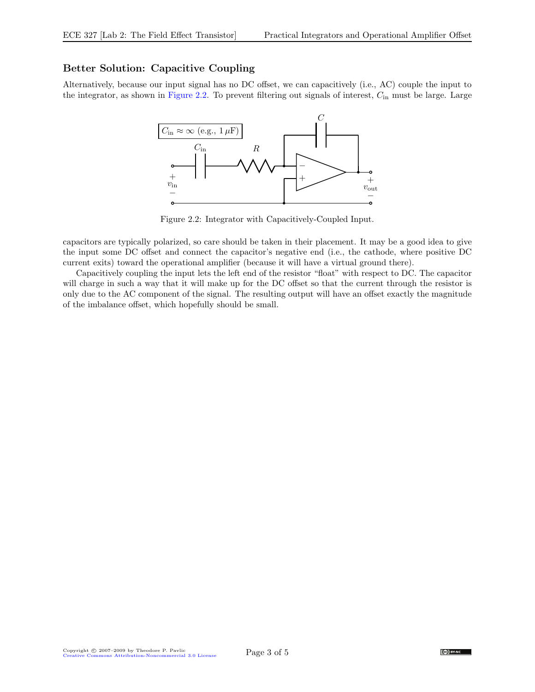## <span id="page-2-0"></span>Better Solution: Capacitive Coupling

Alternatively, because our input signal has no DC offset, we can capacitively (i.e., AC) couple the input to the integrator, as shown in [Figure 2.2.](#page-2-1) To prevent filtering out signals of interest, Cin must be large. Large



<span id="page-2-1"></span>Figure 2.2: Integrator with Capacitively-Coupled Input.

capacitors are typically polarized, so care should be taken in their placement. It may be a good idea to give the input some DC offset and connect the capacitor's negative end (i.e., the cathode, where positive DC current exits) toward the operational amplifier (because it will have a virtual ground there).

Capacitively coupling the input lets the left end of the resistor "float" with respect to DC. The capacitor will charge in such a way that it will make up for the DC offset so that the current through the resistor is only due to the AC component of the signal. The resulting output will have an offset exactly the magnitude of the imbalance offset, which hopefully should be small.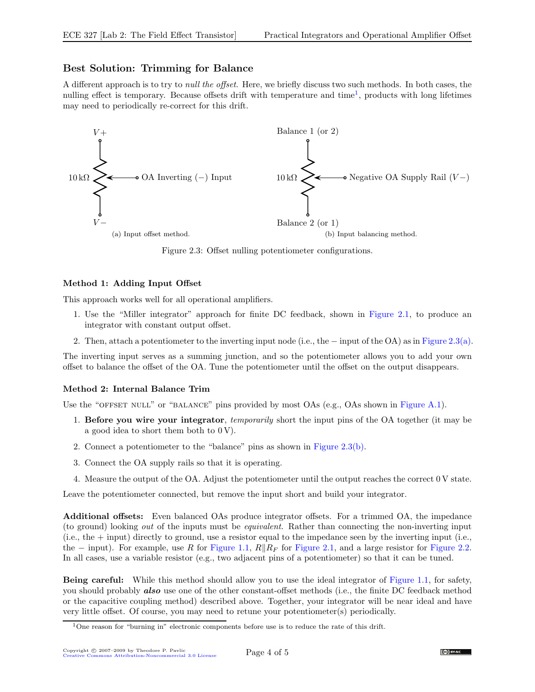## <span id="page-3-0"></span>Best Solution: Trimming for Balance

A different approach is to try to null the offset. Here, we briefly discuss two such methods. In both cases, the nulling effect is temporary. Because offsets drift with temperature and time<sup>[1](#page-3-3)</sup>, products with long lifetimes may need to periodically re-correct for this drift.

<span id="page-3-4"></span>

<span id="page-3-5"></span>Figure 2.3: Offset nulling potentiometer configurations.

#### <span id="page-3-1"></span>Method 1: Adding Input Offset

This approach works well for all operational amplifiers.

- 1. Use the "Miller integrator" approach for finite DC feedback, shown in [Figure 2.1,](#page-1-2) to produce an integrator with constant output offset.
- 2. Then, attach a potentiometer to the inverting input node (i.e., the − input of the OA) as in [Figure 2.3\(a\).](#page-3-4)

The inverting input serves as a summing junction, and so the potentiometer allows you to add your own offset to balance the offset of the OA. Tune the potentiometer until the offset on the output disappears.

#### <span id="page-3-2"></span>Method 2: Internal Balance Trim

Use the "OFFSET NULL" or "BALANCE" pins provided by most  $OAs$  (e.g.,  $OAs$  shown in [Figure A.1\)](#page-4-1).

- 1. Before you wire your integrator, *temporarily* short the input pins of the OA together (it may be a good idea to short them both to  $0 V$ ).
- 2. Connect a potentiometer to the "balance" pins as shown in [Figure 2.3\(b\).](#page-3-5)
- 3. Connect the OA supply rails so that it is operating.
- 4. Measure the output of the OA. Adjust the potentiometer until the output reaches the correct 0 V state.

Leave the potentiometer connected, but remove the input short and build your integrator.

Additional offsets: Even balanced OAs produce integrator offsets. For a trimmed OA, the impedance (to ground) looking out of the inputs must be equivalent. Rather than connecting the non-inverting input  $(i.e., the + input)$  directly to ground, use a resistor equal to the impedance seen by the inverting input (i.e., the − input). For example, use R for [Figure 1.1,](#page-0-2)  $R||R_F$  for [Figure 2.1,](#page-1-2) and a large resistor for [Figure 2.2.](#page-2-1) In all cases, use a variable resistor (e.g., two adjacent pins of a potentiometer) so that it can be tuned.

Being careful: While this method should allow you to use the ideal integrator of [Figure 1.1,](#page-0-2) for safety, you should probably **also** use one of the other constant-offset methods (i.e., the finite DC feedback method or the capacitive coupling method) described above. Together, your integrator will be near ideal and have very little offset. Of course, you may need to retune your potentiometer(s) periodically.

<span id="page-3-3"></span><sup>&</sup>lt;sup>1</sup>One reason for "burning in" electronic components before use is to reduce the rate of this drift.